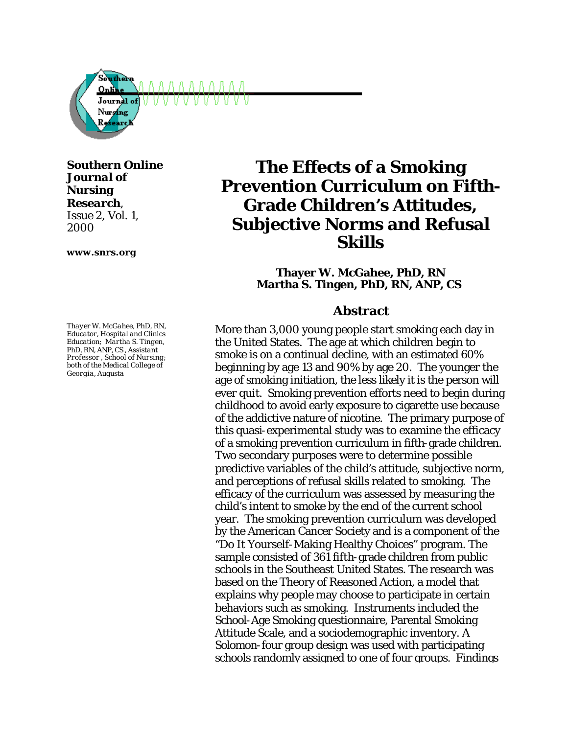

*Southern Online Journal of Nursing Research,*

*Issue 2, Vol. 1, 2000*

**www.snrs.org**

*Thayer W. McGahee, PhD, RN, Educator, Hospital and Clinics Education; Martha S. Tingen, PhD, RN, ANP, CS , Assistant Professor , School of Nursing; both of the Medical College of Georgia, Augusta*

# **The Effects of a Smoking Prevention Curriculum on Fifth-Grade Children's Attitudes, Subjective Norms and Refusal Skills**

**Thayer W. McGahee, PhD, RN Martha S. Tingen, PhD, RN, ANP, CS**

#### **Abstract**

More than 3,000 young people start smoking each day in the United States. The age at which children begin to smoke is on a continual decline, with an estimated 60% beginning by age 13 and 90% by age 20. The younger the age of smoking initiation, the less likely it is the person will ever quit. Smoking prevention efforts need to begin during childhood to avoid early exposure to cigarette use because of the addictive nature of nicotine. The primary purpose of this quasi-experimental study was to examine the efficacy of a smoking prevention curriculum in fifth-grade children. Two secondary purposes were to determine possible predictive variables of the child's attitude, subjective norm, and perceptions of refusal skills related to smoking. The efficacy of the curriculum was assessed by measuring the child's intent to smoke by the end of the current school year. The smoking prevention curriculum was developed by the American Cancer Society and is a component of the "Do It Yourself-Making Healthy Choices" program. The sample consisted of 361 fifth-grade children from public schools in the Southeast United States. The research was based on the Theory of Reasoned Action, a model that explains why people may choose to participate in certain behaviors such as smoking. Instruments included the School-Age Smoking questionnaire, Parental Smoking Attitude Scale, and a sociodemographic inventory. A Solomon-four group design was used with participating schools randomly assigned to one of four groups. Findings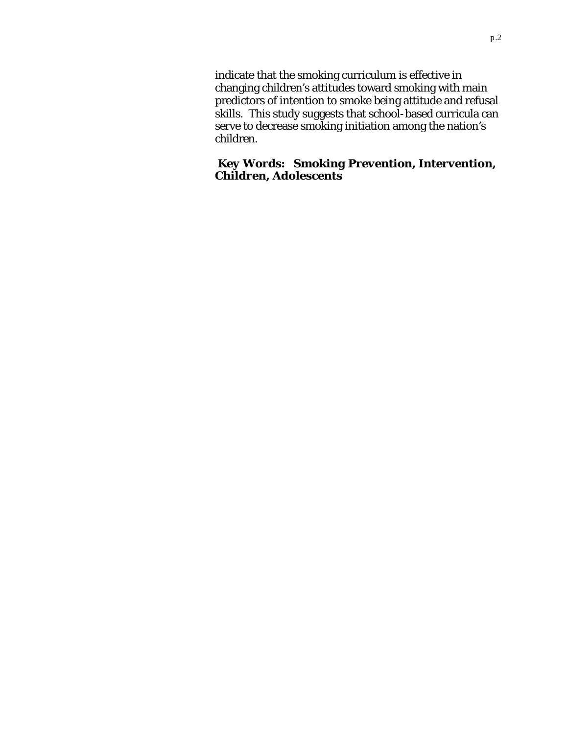indicate that the smoking curriculum is effective in changing children's attitudes toward smoking with main predictors of intention to smoke being attitude and refusal skills. This study suggests that school-based curricula can serve to decrease smoking initiation among the nation's children.

*Key Words: Smoking Prevention, Intervention, Children, Adolescents*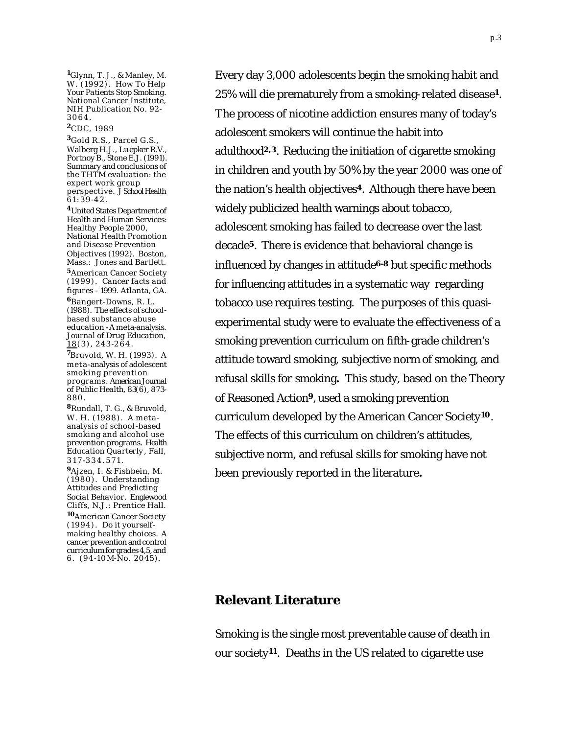**<sup>1</sup>**Glynn, T. J., & Manley, M. W. (1992). *How To Help Your Patients Stop Smoking*. National Cancer Institute, NIH Publication No. 92- 3064 .

#### **<sup>2</sup>**CDC, 1989

**<sup>3</sup>**Gold R.S., Parcel G.S., Walberg H.J., Luepker R.V., Portnoy B., Stone E.J. (1991). Summary and conclusions of the THTM evaluation: the expert work group perspective. *J School Health* 61:39 -42.

**<sup>4</sup>**United States Department of Health and Human Services: *Healthy People 2000, National Health Promotion and Disease Prevention Objectives* (1992). Boston, Mass.: Jones and Bartlett.

**<sup>5</sup>**American Cancer Society (1999). *Cancer facts and figures - 1999.* Atlanta, GA.

**<sup>6</sup>**Bangert-Downs, R. L. (1988). The effects of schoolbased substance abuse education - A meta-analysis. *Journal of Drug Education,*  $18(3)$ , 243-264.

**<sup>7</sup>**Bruvold, W. H. (1993). A meta -analysis of adolescent smoking prevention programs. *American Journal of Public Health, 83*(6), 873- 880.

**<sup>8</sup>**Rundall, T. G., & Bruvold, W. H. (1988). A metaanalysis of school-based smoking and alcohol use prevention programs. *Health Education Quarterly*, Fall, 317 -334.571.

**<sup>9</sup>**Ajzen, I. & Fishbein, M. (1980). *Understanding Attitudes and Predicting Social Behavior.* Englewood Cliffs, N.J.: Prentice Hall.

**<sup>10</sup>**American Cancer Society (1994). *Do it yourselfmaking healthy choices*. A cancer prevention and control curriculum for grades 4,5, and 6. (94-10M-No. 2045).

Every day 3,000 adolescents begin the smoking habit and 25% will die prematurely from a smoking-related disease**1**.  The process of nicotine addiction ensures many of today's adolescent smokers will continue the habit into adulthood<sup>2,3</sup>. Reducing the initiation of cigarette smoking in children and youth by 50% by the year 2000 was one of the nation's health objectives**4**. Although there have been widely publicized health warnings about tobacco, adolescent smoking has failed to decrease over the last decade**5**. There is evidence that behavioral change is influenced by changes in attitude**6-8** but specific methods for influencing attitudes in a systematic way regarding tobacco use requires testing. The purposes of this quasiexperimental study were to evaluate the effectiveness of a smoking prevention curriculum on fifth-grade children's attitude toward smoking, subjective norm of smoking, and refusal skills for smoking**.** This study, based on the Theory of Reasoned Action**9**, used a smoking prevention curriculum developed by the American Cancer Society**10**. The effects of this curriculum on children's attitudes, subjective norm, and refusal skills for smoking have not been previously reported in the literature**.**

#### **Relevant Literature**

Smoking is the single most preventable cause of death in our society**11**. Deaths in the US related to cigarette use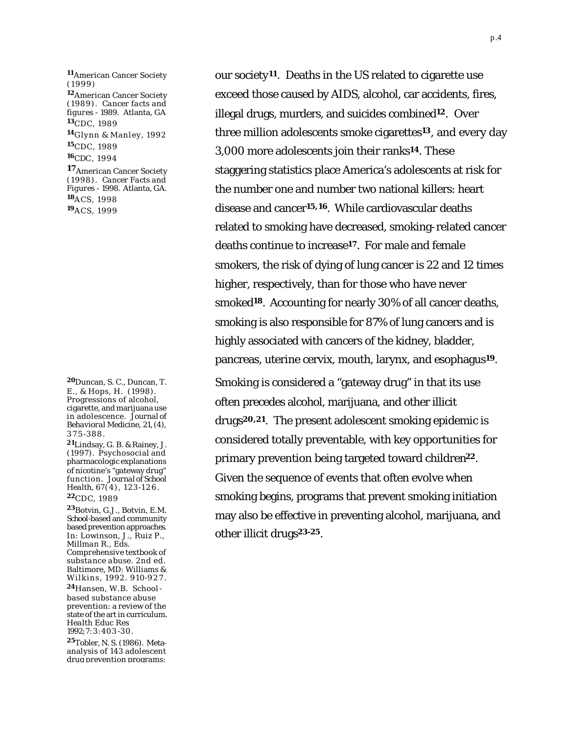**<sup>11</sup>**American Cancer Society (1999) **<sup>12</sup>**American Cancer Society (1989). *Cancer facts and figures - 1989.* Atlanta, GA **<sup>13</sup>**CDC, 1989 **<sup>14</sup>**Glynn & Manley, 1992 **<sup>15</sup>**CDC, 1989 **<sup>16</sup>**CDC, 1994 **17**American Cancer Society (1998). *Cancer Facts and Figures - 1998.* Atlanta, GA. **<sup>18</sup>**ACS, 1998 **<sup>19</sup>**ACS, 1999

**<sup>20</sup>**Duncan, S. C., Duncan, T. E., & Hops, H. (1998). Progressions of alcohol, cigarette, and marijuana use in adolescence. *Journal of Behavioral Medicine, 21,* (4), 375 -388.

**<sup>21</sup>**Lindsay, G. B. & Rainey, J. (1997). Psychosocial and pharmacologic explanations of nicotine's "gateway drug" function. *Journal of School Health, 67*(4), 123-126. **<sup>22</sup>**CDC, 1989

**<sup>23</sup>**Botvin, G.J., Botvin, E.M. School-based and community based prevention approaches. In: Lowinson, J., Ruiz P., *Millman R., Eds. Comprehensive textbook of substance abuse.* 2nd ed. Baltimore, MD: Williams & Wilkins, 1992. 910-927.

**<sup>24</sup>**Hansen, W.B. Schoolbased substance abuse prevention: a review of the state of the art in curriculum. *Health Educ Res 1992;7*:3:403 -30.

**<sup>25</sup>**Tobler, N. S. (1986). Metaanalysis of 143 adolescent drug prevention programs:

our society**11**. Deaths in the US related to cigarette use exceed those caused by AIDS, alcohol, car accidents, fires, illegal drugs, murders, and suicides combined**12**. Over three million adolescents smoke cigarettes**13**, and every day 3,000 more adolescents join their ranks**14**. These staggering statistics place America's adolescents at risk for the number one and number two national killers: heart disease and cancer**15,16**. While cardiovascular deaths related to smoking have decreased, smoking-related cancer deaths continue to increase**17**. For male and female smokers, the risk of dying of lung cancer is 22 and 12 times higher, respectively, than for those who have never smoked**18**. Accounting for nearly 30% of all cancer deaths, smoking is also responsible for 87% of lung cancers and is highly associated with cancers of the kidney, bladder, pancreas, uterine cervix, mouth, larynx, and esophagus**19**. Smoking is considered a "gateway drug" in that its use often precedes alcohol, marijuana, and other illicit drugs**20,21**. The present adolescent smoking epidemic is considered totally preventable, with key opportunities for primary prevention being targeted toward children**22**.  Given the sequence of events that often evolve when smoking begins, programs that prevent smoking initiation may also be effective in preventing alcohol, marijuana, and other illicit drugs**23-25**.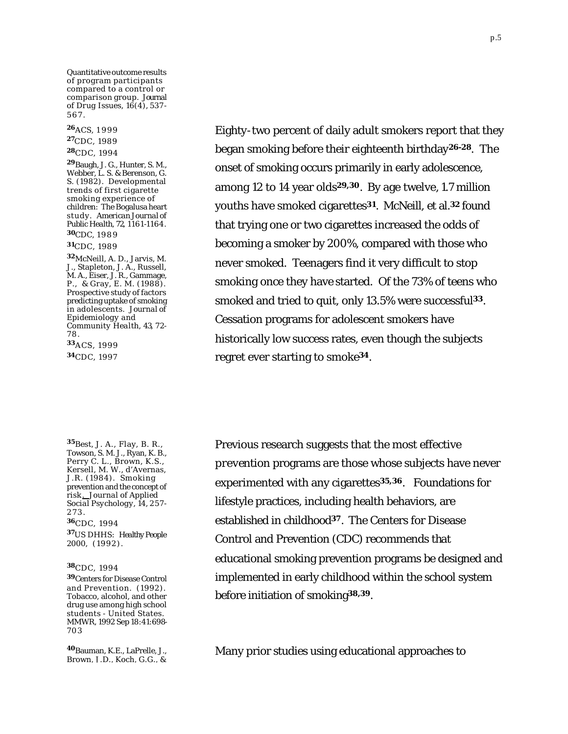Quantitative outcome results of program participants compared to a control or comparison group. *Journal of Drug Issues, 16*(4), 537 - 567.

**<sup>26</sup>**ACS, 1 999 **<sup>27</sup>**CDC, 1989 **<sup>28</sup>**CDC, 1994 **<sup>29</sup>**Baugh, J. G., Hunter, S. M., Webber, L. S. & Berenson, G. S. (1982). Developmental trends of first cigarette smoking experience of children: The Bogalusa heart study. *American Journal of Public Health, 72*, 1161-1164. **<sup>30</sup>**CDC, 1989 **<sup>31</sup>**CDC, 1989 **<sup>32</sup>**McNeill, A. D., Jarvis, M. J., Stapleton, J. A., Russell, M. A., Eiser, J. R., Gammage, P., & Gray, E. M. (1988). Prospective study of factors predicting uptake of smoking in adolescents. *Journal of Epidemiology and Community Health, 43*, 72- 78. **<sup>33</sup>**ACS, 1999

**<sup>34</sup>**CDC, 1997

**<sup>35</sup>**Best, J. A., Flay, B. R., Towson, S. M. J., Ryan, K. B., Perry C. L., Brown, K.S., Kersell, M. W., d'Avernas, J.R. (1984). Smoking prevention and the concept of risk *. Journal of Applied Social Psychology, 14,* 257- 273. **<sup>36</sup>**CDC, 1994

**<sup>37</sup>**US DHHS: *Healthy People 2000,* (1992).

#### **<sup>38</sup>**CDC, 1994

**<sup>39</sup>**Centers for Disease Control and Prevention. (1992). Tobacco, alcohol, and other drug use among high school students - United States. MMWR, 1992 Sep 18:41:698- 703

**<sup>40</sup>**Bauman, K.E., LaPrelle, J., Brown, J.D., Koch, G.G., &

Eighty-two percent of daily adult smokers report that they began smoking before their eighteenth birthday**26-28**. The onset of smoking occurs primarily in early adolescence, among 12 to 14 year olds**29,30**. By age twelve, 1.7 million youths have smoked cigarettes**31**. McNeill, et al.**32** found that trying one or two cigarettes increased the odds of becoming a smoker by 200%, compared with those who never smoked. Teenagers find it very difficult to stop smoking once they have started. Of the 73% of teens who smoked and tried to quit, only 13.5% were successful**33**. Cessation programs for adolescent smokers have historically low success rates, even though the subjects regret ever starting to smoke**34**.

Previous research suggests that the most effective prevention programs are those whose subjects have never experimented with any cigarettes**35,36**. Foundations for lifestyle practices, including health behaviors, are established in childhood**37**. The Centers for Disease Control and Prevention (CDC) recommends that educational smoking prevention programs be designed and implemented in early childhood within the school system before initiation of smoking**38,39**.

Many prior studies using educational approaches to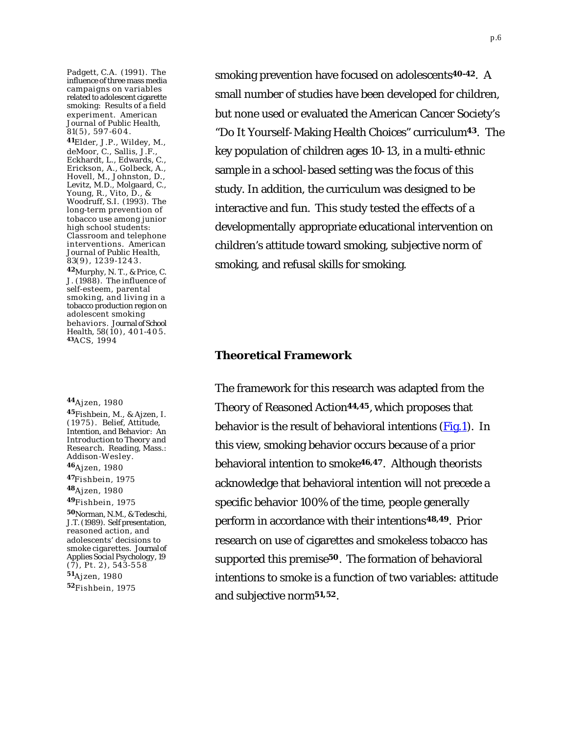<span id="page-5-0"></span>Padgett, C.A. (1991). The influence of three mass media campaigns on variables related to adolescent cigarette smoking: Results of a field experiment. *American Journal of Public Health, 81*(5), 597 -604.

**<sup>41</sup>**Elder, J.P., Wildey, M., deMoor, C., Sallis, J.F., Eckhardt, L., Edwards, C., Erickson, A., Golbeck, A., Hovell, M., Johnston, D., Levitz, M.D., Molgaard, C., Young, R., Vito, D., & Woodruff, S.I. (1993). The long-term prevention of tobacco use among junior high school students: Classroom and telephone interventions. *American Journal of Public Health, 83*(9), 1239-1243.

**<sup>42</sup>**Murphy, N. T., & Price, C. J. (1988). The influence of self-esteem, parental smoking, and living in a tobacco production region on adolescent smoking behaviors. *Journal of School Health, 58*(10), 401 -405. **43**ACS, 1994

**<sup>44</sup>**Ajzen, 1980

**<sup>45</sup>**Fishbein, M., & Ajzen, I. (1975). *Belief, Attitude, Intention, and Behavior: An Introduction to Theory and Research*. Reading, Mass.: Addison -Wesley. **<sup>46</sup>**Ajzen, 1980 **<sup>47</sup>**Fishbein, 1975

**<sup>48</sup>**Ajzen, 1980

**<sup>49</sup>**Fishbein, 1975

**<sup>50</sup>**Norman, N.M., & Tedeschi, J.T. (1989). Self presentation, reasoned action, and adolescents' decisions to smoke cigarettes. *Journal of Applies Social Psychology, 19*   $(\overline{7})$ , Pt. 2), 543-558 **<sup>51</sup>**Ajzen, 1980 **<sup>52</sup>**Fishbein, 1975

smoking prevention have focused on adolescents**40-42**. A small number of studies have been developed for children, but none used or evaluated the American Cancer Society's "Do It Yourself-Making Health Choices" curriculum**43**. The key population of children ages 10-13, in a multi-ethnic sample in a school-based setting was the focus of this study. In addition, the curriculum was designed to be interactive and fun. This study tested the effects of a developmentally appropriate educational intervention on children's attitude toward smoking, subjective norm of smoking, and refusal skills for smoking.

#### **Theoretical Framework**

The framework for this research was adapted from the Theory of Reasoned Action**44,45**, which proposes that behavior is the result of behavioral intentions  $(Fig.1)$ . In this view, smoking behavior occurs because of a prior behavioral intention to smoke**46,47**. Although theorists acknowledge that behavioral intention will not precede a specific behavior 100% of the time, people generally perform in accordance with their intentions**48,49**. Prior research on use of cigarettes and smokeless tobacco has supported this premise**50**. The formation of behavioral intentions to smoke is a function of two variables: attitude and subjective norm**51,52**.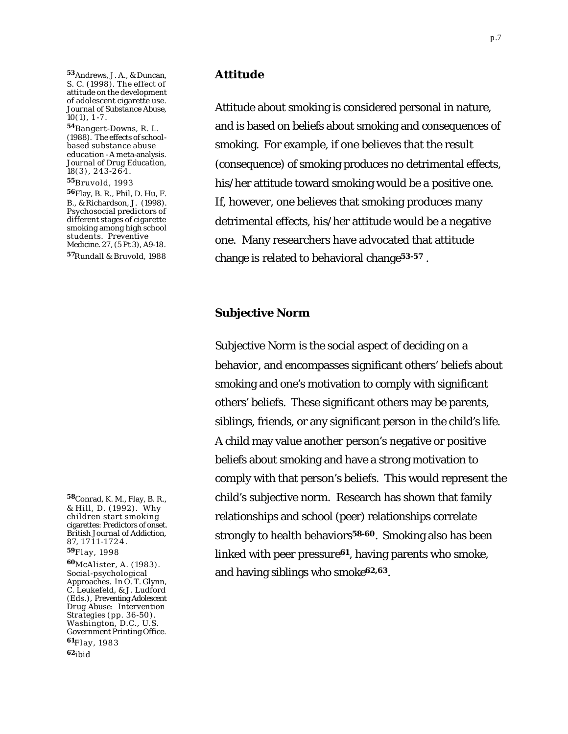**<sup>53</sup>**Andrews, J. A., & Duncan, S. C. (1998). The effect of attitude on the development of adolescent cigarette use. *Journal of Substance Abuse, 10*(1), 1 -7 .

**<sup>54</sup>**Bangert-Downs, R. L. (1988). The effects of schoolbased substance abuse education - A meta-analysis. *Journal of Drug Education, 18*(3), 243-264.

**<sup>55</sup>**Bruvold, 1993

**<sup>56</sup>**Flay, B. R., Phil, D. Hu, F. B., & Richardson, J. (1998). Psychosocial predictors of different stages of cigarette smoking among high school students. *Preventive Medicine. 27*, (5 Pt 3), A9-18. **<sup>57</sup>**Rundall & Bruvold, 1988

**<sup>58</sup>**Conrad, K. M., Flay, B. R., & Hill, D. (1992). Why children start smoking cigarettes: Predictors of onset. *British Journal of Addiction, 87,* 1711 -1724. **<sup>59</sup>**Flay, 1998

**<sup>60</sup>**McAlister, A. (1983). Socia l-psychological Approaches. In O. T. Glynn, C. Leukefeld, & J. Ludford (Eds.), *Preventing Adolescent Drug Abuse: Intervention Strategies* (pp. 36-50). Washington, D.C., U.S. Government Printing Office. **<sup>61</sup>**Flay, 1983 **<sup>62</sup>**ibid

#### **Attitude**

Attitude about smoking is considered personal in nature, and is based on beliefs about smoking and consequences of smoking. For example, if one believes that the result (consequence) of smoking produces no detrimental effects, his/her attitude toward smoking would be a positive one. If, however, one believes that smoking produces many detrimental effects, his/her attitude would be a negative one. Many researchers have advocated that attitude change is related to behavioral change**53-57** .

#### **Subjective Norm**

Subjective Norm is the social aspect of deciding on a behavior, and encompasses significant others' beliefs about smoking and one's motivation to comply with significant others' beliefs. These significant others may be parents, siblings, friends, or any significant person in the child's life. A child may value another person's negative or positive beliefs about smoking and have a strong motivation to comply with that person's beliefs. This would represent the child's subjective norm. Research has shown that family relationships and school (peer) relationships correlate strongly to health behaviors**58-60**. Smoking also has been linked with peer pressure**61**, having parents who smoke, and having siblings who smoke**62,63**.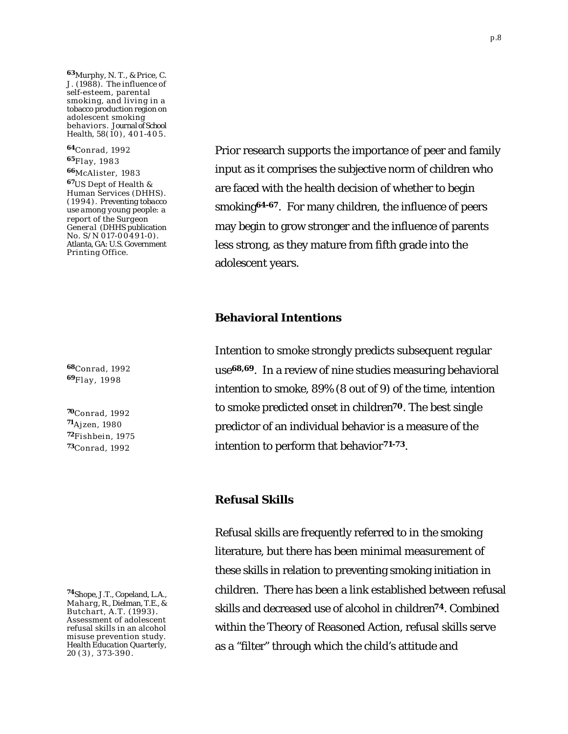**<sup>63</sup>**Murphy, N. T., & Price, C. J. (1988). The influence of self-esteem, parental smoking, and living in a tobacco production region on adolescent smoking behaviors. *Journal of School Health, 58*(10), 401 -405.

**<sup>64</sup>**Conrad, 1992 **<sup>65</sup>**Flay, 1983 **<sup>66</sup>**McAlister, 1983 **<sup>67</sup>**US Dept of Health & Human Services (DHHS). (19 94). *Preventing tobacco use among young people: a report of the Surgeon General* (DHHS publication No.  $S/N$  017-00491-0). Atlanta, GA: U.S. Government Printing Office.

**<sup>68</sup>**Conrad, 1992 **<sup>69</sup>**Flay, 1998

Conrad, 1992 Ajzen, 1980 Fishbein, 1975 Conrad, 1992

Prior research supports the importance of peer and family input as it comprises the subjective norm of children who are faced with the health decision of whether to begin smoking**64-67**. For many children, the influence of peers may begin to grow stronger and the influence of parents less strong, as they mature from fifth grade into the adolescent years.

### **Behavioral Intentions**

Intention to smoke strongly predicts subsequent regular use**68,69**. In a review of nine studies measuring behavioral intention to smoke, 89% (8 out of 9) of the time, intention to smoke predicted onset in children**70**. The best single predictor of an individual behavior is a measure of the intention to perform that behavior**71-73**.

#### **Refusal Skills**

Refusal skills are frequently referred to in the smoking literature, but there has been minimal measurement of these skills in relation to preventing smoking initiation in children. There has been a link established between refusal skills and decreased use of alcohol in children**74**. Combined within the Theory of Reasoned Action, refusal skills serve as a "filter" through which the child's attitude and

**<sup>74</sup>**Shope, J.T., Copeland, L.A., Maharg, R., Dielman, T.E., & Butchart, A.T. (1993). Assessment of adolescent refusal skills in an alcohol misuse prevention study. *Health Education Quarterly, 20* (3), 373-390.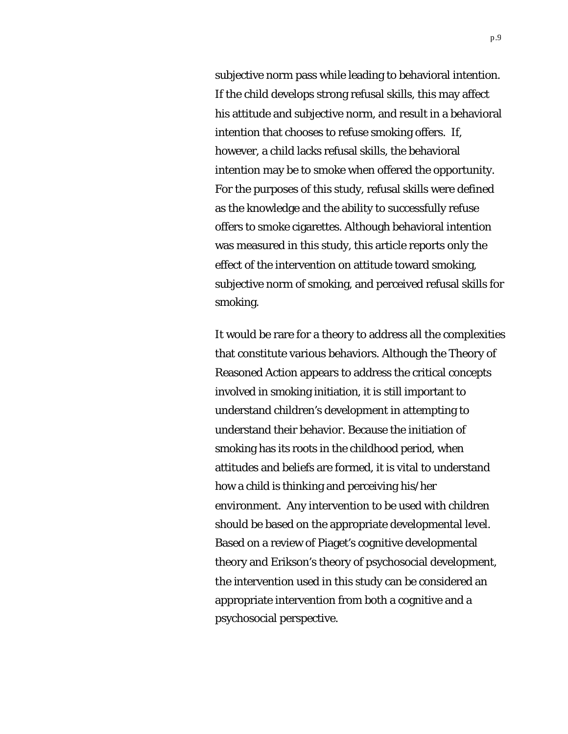subjective norm pass while leading to behavioral intention. If the child develops strong refusal skills, this may affect his attitude and subjective norm, and result in a behavioral intention that chooses to refuse smoking offers. If, however, a child lacks refusal skills, the behavioral intention may be to smoke when offered the opportunity. For the purposes of this study, refusal skills were defined as the knowledge and the ability to successfully refuse offers to smoke cigarettes. Although behavioral intention was measured in this study, this article reports only the effect of the intervention on attitude toward smoking, subjective norm of smoking, and perceived refusal skills for smoking.

It would be rare for a theory to address all the complexities that constitute various behaviors. Although the Theory of Reasoned Action appears to address the critical concepts involved in smoking initiation, it is still important to understand children's development in attempting to understand their behavior. Because the initiation of smoking has its roots in the childhood period, when attitudes and beliefs are formed, it is vital to understand how a child is thinking and perceiving his/her environment. Any intervention to be used with children should be based on the appropriate developmental level. Based on a review of Piaget's cognitive developmental theory and Erikson's theory of psychosocial development, the intervention used in this study can be considered an appropriate intervention from both a cognitive and a psychosocial perspective.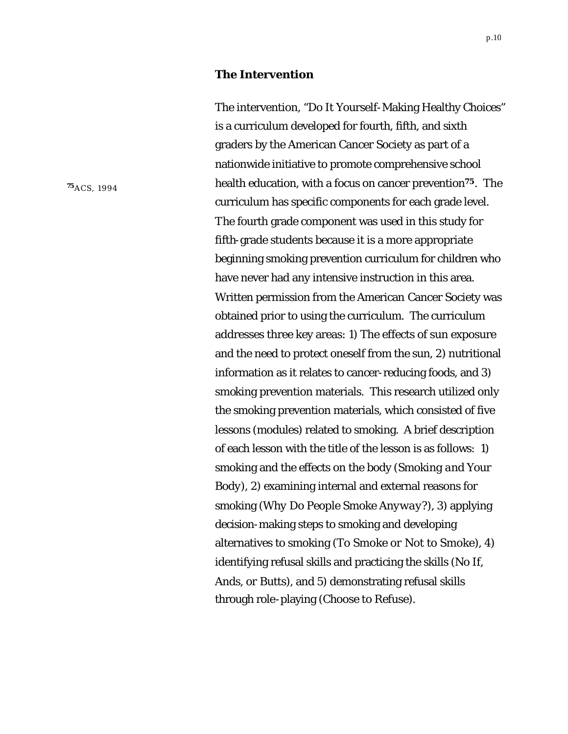#### **The Intervention**

The intervention, "Do It Yourself-Making Healthy Choices" is a curriculum developed for fourth, fifth, and sixth graders by the American Cancer Society as part of a nationwide initiative to promote comprehensive school health education, with a focus on cancer prevention**75**. The curriculum has specific components for each grade level. The fourth grade component was used in this study for fifth-grade students because it is a more appropriate beginning smoking prevention curriculum for children who have never had any intensive instruction in this area. Written permission from the American Cancer Society was obtained prior to using the curriculum. The curriculum addresses three key areas: 1) The effects of sun exposure and the need to protect oneself from the sun, 2) nutritional information as it relates to cancer-reducing foods, and 3) smoking prevention materials. This research utilized only the smoking prevention materials, which consisted of five lessons (modules) related to smoking. A brief description of each lesson with the title of the lesson is as follows: 1) smoking and the effects on the body (*Smoking and Your Body*), 2) examining internal and external reasons for smoking (*Why Do People Smoke Anyway?*), 3) applying decision-making steps to smoking and developing alternatives to smoking (*To Smoke or Not to Smoke*), 4) identifying refusal skills and practicing the skills (*No If, Ands, or Butts*), and 5) demonstrating refusal skills through role-playing (*Choose to Refuse*).

**<sup>75</sup>**ACS, 1994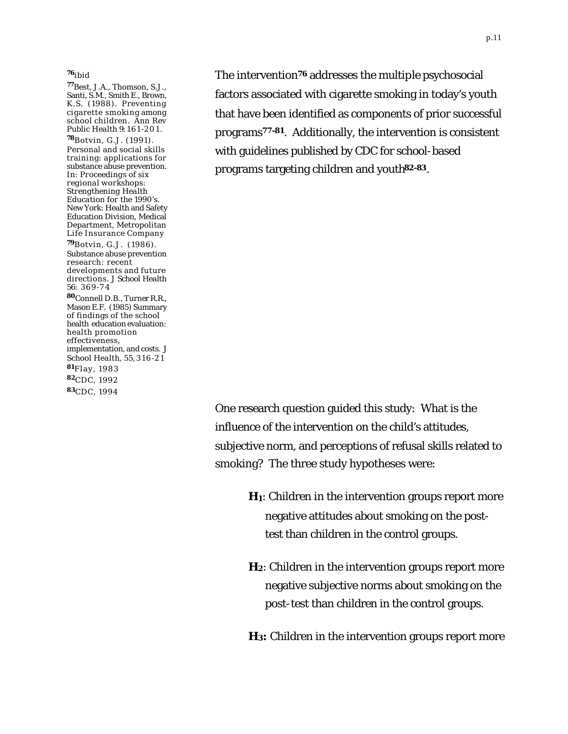#### **<sup>76</sup>**ibid

**<sup>77</sup>**Best, J.A., Thomson, S.J., Santi, S.M., Smith E., Brown, K.S. (1988). Preventing cigarette smoking among school children. *Ann Rev Public Health 9*:161 -201.

**<sup>78</sup>**Botvin, G.J. (1991). Personal and social skills training: applications for substance abuse prevention. In: *Proceedings of six regional workshops: Strengthening Health Education for the 1990's.*  New York: Health and Safety Education Division, Medical Department, Metropolitan Life Insurance Company

**<sup>79</sup>**Botvin, G.J. (1986). Substance abuse prevention research: recent developments and future directions. *J School Health 56*: 369-7 4

**<sup>80</sup>**Connell D.B., Turner R.R., Mason E.F. (1985) Summary of findings of the school health education evaluation: health promotion effectiveness, implementation, and costs. *J School Health, 55*,316 -2 1 **<sup>81</sup>**Flay, 1983 **<sup>82</sup>**CDC, 1992 **<sup>83</sup>**CDC, 1994

The intervention**76** addresses the multiple psychosocial factors associated with cigarette smoking in today's youth that have been identified as components of prior successful programs**77-81**. Additionally, the intervention is consistent with guidelines published by CDC for school-based programs targeting children and youth**82-83**.

One research question guided this study: What is the influence of the intervention on the child's attitudes, subjective norm, and perceptions of refusal skills related to smoking? The three study hypotheses were:

> **H1**: Children in the intervention groups report more negative attitudes about smoking on the posttest than children in the control groups.

> **H2**: Children in the intervention groups report more negative subjective norms about smoking on the post-test than children in the control groups.

> **H3:** Children in the intervention groups report more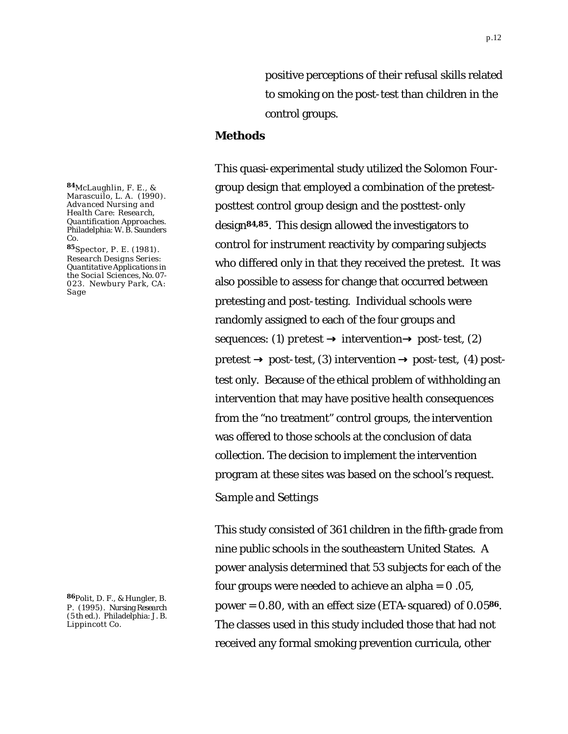positive perceptions of their refusal skills related to smoking on the post-test than children in the control groups.

#### **Methods**

This quasi-experimental study utilized the Solomon Fourgroup design that employed a combination of the pretestposttest control group design and the posttest-only design**84,85**. This design allowed the investigators to control for instrument reactivity by comparing subjects who differed only in that they received the pretest. It was also possible to assess for change that occurred between pretesting and post-testing. Individual schools were randomly assigned to each of the four groups and sequences: (1) pretest **®** intervention**®** post-test, (2) pretest **®** post-test, (3) intervention **®** post-test, (4) posttest only. Because of the ethical problem of withholding an intervention that may have positive health consequences from the "no treatment" control groups, the intervention was offered to those schools at the conclusion of data collection. The decision to implement the intervention program at these sites was based on the school's request.

#### *Sample and Settings*

This study consisted of 361 children in the fifth-grade from nine public schools in the southeastern United States. A power analysis determined that 53 subjects for each of the four groups were needed to achieve an alpha  $= 0.05$ , power = 0.80, with an effect size (ETA-squared) of 0.05**86**. The classes used in this study included those that had not received any formal smoking prevention curricula, other

**<sup>84</sup>**McLaughlin, F. E., & Marascuilo, L. A. (1990). *Advanced Nursing and Health Care: Research, Quantification Approaches.*  Philadelphia: W. B. Saunders Co.

**<sup>85</sup>**Spector, P. E. (1981). *Research Designs Series: Quantitative Applications in the Social Sciences,* No. 07- 023. Newbury Park, CA: Sage

**<sup>86</sup>**Polit, D. F., & Hungler, B. P. (1995). *Nursing Research* (5 th ed.). Philadelphia: J. B. Lippincott Co.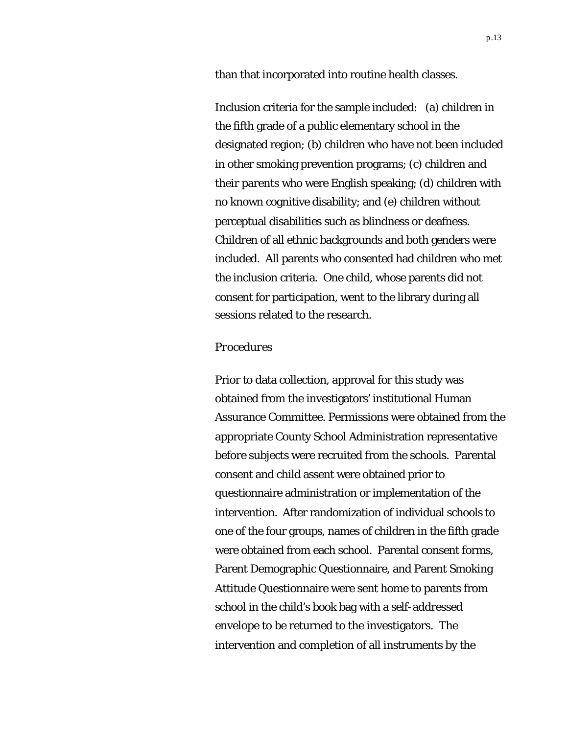than that incorporated into routine health classes.

Inclusion criteria for the sample included: (a) children in the fifth grade of a public elementary school in the designated region; (b) children who have not been included in other smoking prevention programs; (c) children and their parents who were English speaking; (d) children with no known cognitive disability; and (e) children without perceptual disabilities such as blindness or deafness. Children of all ethnic backgrounds and both genders were included. All parents who consented had children who met the inclusion criteria. One child, whose parents did not consent for participation, went to the library during all sessions related to the research.

#### *Procedures*

Prior to data collection, approval for this study was obtained from the investigators' institutional Human Assurance Committee. Permissions were obtained from the appropriate County School Administration representative before subjects were recruited from the schools. Parental consent and child assent were obtained prior to questionnaire administration or implementation of the intervention. After randomization of individual schools to one of the four groups, names of children in the fifth grade were obtained from each school. Parental consent forms, Parent Demographic Questionnaire, and Parent Smoking Attitude Questionnaire were sent home to parents from school in the child's book bag with a self-addressed envelope to be returned to the investigators. The intervention and completion of all instruments by the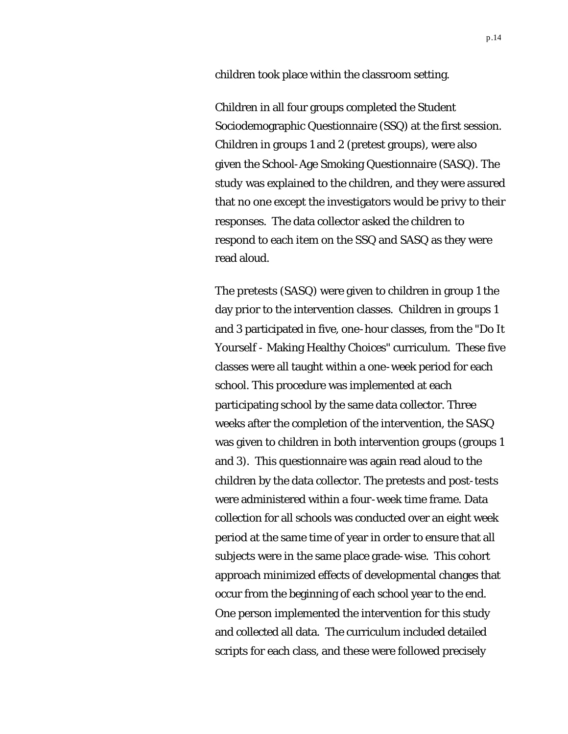children took place within the classroom setting.

Children in all four groups completed the Student Sociodemographic Questionnaire (SSQ) at the first session. Children in groups 1 and 2 (pretest groups), were also given the School-Age Smoking Questionnaire (SASQ). The study was explained to the children, and they were assured that no one except the investigators would be privy to their responses. The data collector asked the children to respond to each item on the SSQ and SASQ as they were read aloud.

The pretests (SASQ) were given to children in group 1 the day prior to the intervention classes. Children in groups 1 and 3 participated in five, one-hour classes, from the "Do It Yourself - Making Healthy Choices" curriculum. These five classes were all taught within a one-week period for each school. This procedure was implemented at each participating school by the same data collector. Three weeks after the completion of the intervention, the SASQ was given to children in both intervention groups (groups 1 and 3). This questionnaire was again read aloud to the children by the data collector. The pretests and post-tests were administered within a four-week time frame. Data collection for all schools was conducted over an eight week period at the same time of year in order to ensure that all subjects were in the same place grade-wise. This cohort approach minimized effects of developmental changes that occur from the beginning of each school year to the end. One person implemented the intervention for this study and collected all data. The curriculum included detailed scripts for each class, and these were followed precisely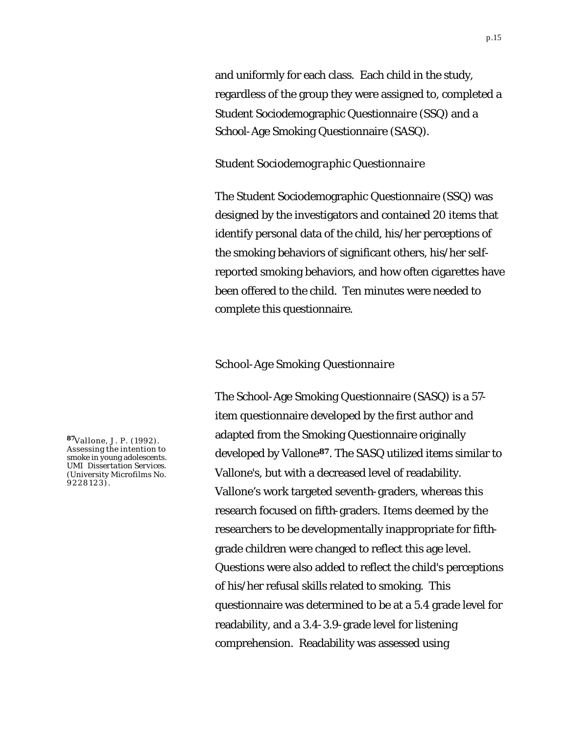and uniformly for each class. Each child in the study, regardless of the group they were assigned to, completed a Student Sociodemographic Questionnaire (SSQ) and a School-Age Smoking Questionnaire (SASQ).

#### *Student Sociodemographic Questionnaire*

The Student Sociodemographic Questionnaire (SSQ) was designed by the investigators and contained 20 items that identify personal data of the child, his/her perceptions of the smoking behaviors of significant others, his/her selfreported smoking behaviors, and how often cigarettes have been offered to the child. Ten minutes were needed to complete this questionnaire.

#### *School-Age Smoking Questionnaire*

The School-Age Smoking Questionnaire (SASQ) is a 57 item questionnaire developed by the first author and adapted from the Smoking Questionnaire originally developed by Vallone**87**. The SASQ utilized items similar to Vallone's, but with a decreased level of readability. Vallone's work targeted seventh-graders, whereas this research focused on fifth-graders. Items deemed by the researchers to be developmentally inappropriate for fifthgrade children were changed to reflect this age level. Questions were also added to reflect the child's perceptions of his/her refusal skills related to smoking. This questionnaire was determined to be at a 5.4 grade level for readability, and a 3.4-3.9-grade level for listening comprehension. Readability was assessed using

**<sup>87</sup>**Vallone, J. P. (1992). Assessing the intention to smoke in young adolescents. *UMI Dissertation Services*. (University Microfilms No. 9228123).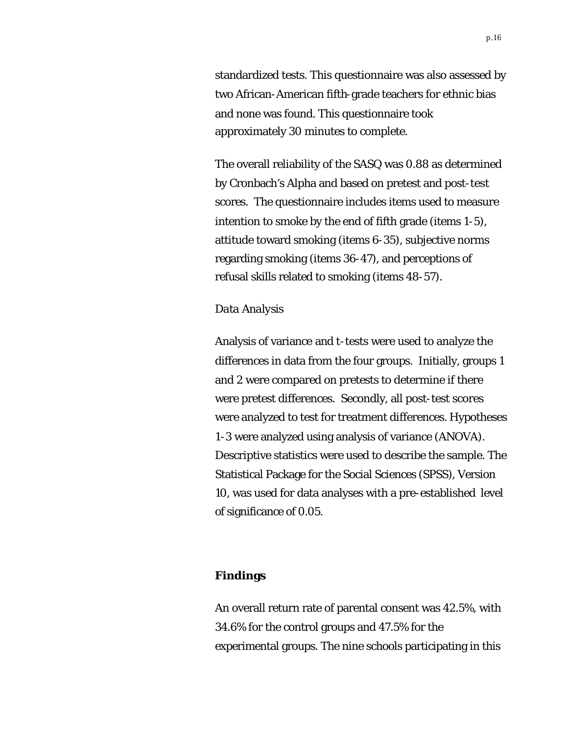standardized tests. This questionnaire was also assessed by two African-American fifth-grade teachers for ethnic bias and none was found. This questionnaire took approximately 30 minutes to complete.

The overall reliability of the SASQ was 0.88 as determined by Cronbach's Alpha and based on pretest and post-test scores. The questionnaire includes items used to measure intention to smoke by the end of fifth grade (items 1-5), attitude toward smoking (items 6-35), subjective norms regarding smoking (items 36-47), and perceptions of refusal skills related to smoking (items 48-57).

#### *Data Analysis*

Analysis of variance and *t*-tests were used to analyze the differences in data from the four groups. Initially, groups 1 and 2 were compared on pretests to determine if there were pretest differences. Secondly, all post-test scores were analyzed to test for treatment differences. Hypotheses 1-3 were analyzed using analysis of variance (ANOVA). Descriptive statistics were used to describe the sample. The Statistical Package for the Social Sciences (SPSS), Version 10, was used for data analyses with a pre-established level of significance of 0.05.

#### **Findings**

An overall return rate of parental consent was 42.5%, with 34.6% for the control groups and 47.5% for the experimental groups. The nine schools participating in this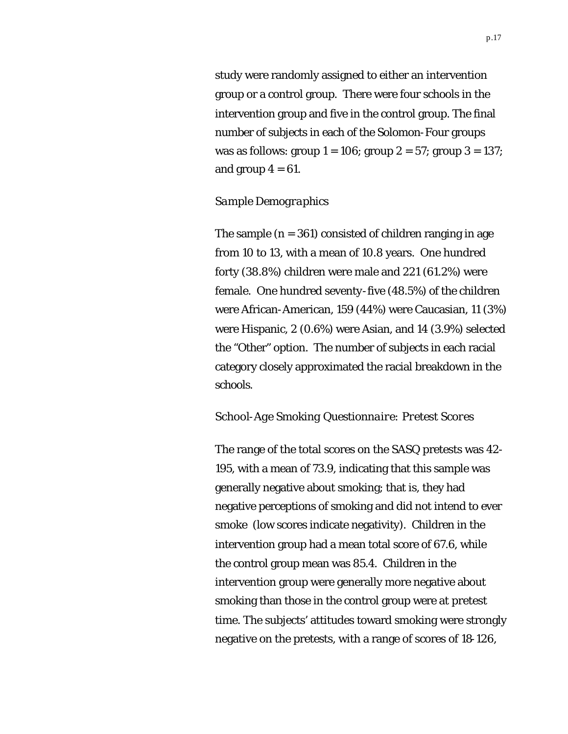study were randomly assigned to either an intervention group or a control group. There were four schools in the intervention group and five in the control group. The final number of subjects in each of the Solomon-Four groups was as follows: group  $1 = 106$ ; group  $2 = 57$ ; group  $3 = 137$ ; and group  $4 = 61$ .

#### *Sample Demographics*

The sample  $(n = 361)$  consisted of children ranging in age from 10 to 13, with a mean of 10.8 years. One hundred forty (38.8%) children were male and 221 (61.2%) were female. One hundred seventy-five (48.5%) of the children were African-American, 159 (44%) were Caucasian, 11 (3%) were Hispanic, 2 (0.6%) were Asian, and 14 (3.9%) selected the "Other" option. The number of subjects in each racial category closely approximated the racial breakdown in the schools.

#### *School-Age Smoking Questionnaire: Pretest Scores*

The range of the total scores on the SASQ pretests was 42- 195, with a mean of 73.9, indicating that this sample was generally negative about smoking; that is, they had negative perceptions of smoking and did not intend to ever smoke (low scores indicate negativity). Children in the intervention group had a mean total score of 67.6, while the control group mean was 85.4. Children in the intervention group were generally more negative about smoking than those in the control group were at pretest time. The subjects' attitudes toward smoking were strongly negative on the pretests, with a range of scores of 18-126,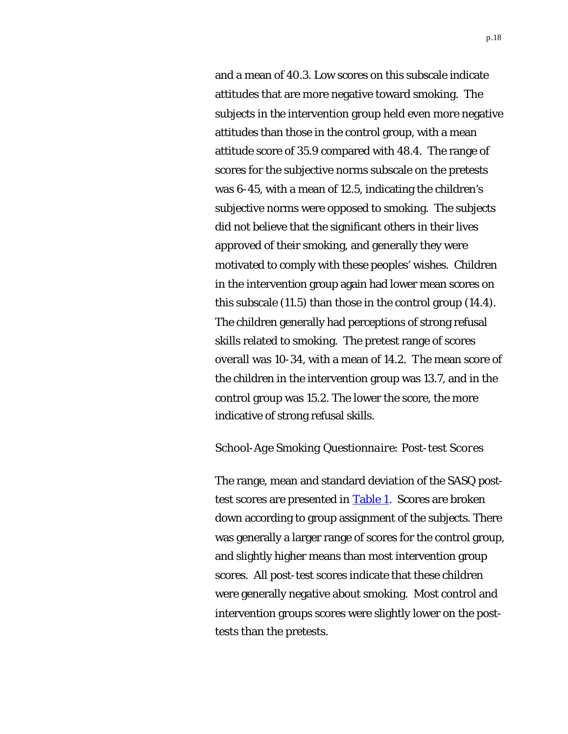<span id="page-17-0"></span>and a mean of 40.3. Low scores on this subscale indicate attitudes that are more negative toward smoking. The subjects in the intervention group held even more negative attitudes than those in the control group, with a mean attitude score of 35.9 compared with 48.4. The range of scores for the subjective norms subscale on the pretests was 6-45, with a mean of 12.5, indicating the children's subjective norms were opposed to smoking. The subjects did not believe that the significant others in their lives approved of their smoking, and generally they were motivated to comply with these peoples' wishes. Children in the intervention group again had lower mean scores on this subscale (11.5) than those in the control group (14.4). The children generally had perceptions of strong refusal skills related to smoking. The pretest range of scores overall was 10-34, with a mean of 14.2. The mean score of the children in the intervention group was 13.7, and in the control group was 15.2. The lower the score, the more indicative of strong refusal skills.

#### *School-Age Smoking Questionnaire: Post-test Scores*

The range, mean and standard deviation of the SASQ posttest scores are presented in [Table 1. S](#page-26-0)cores are broken down according to group assignment of the subjects. There was generally a larger range of scores for the control group, and slightly higher means than most intervention group scores. All post-test scores indicate that these children were generally negative about smoking. Most control and intervention groups scores were slightly lower on the posttests than the pretests.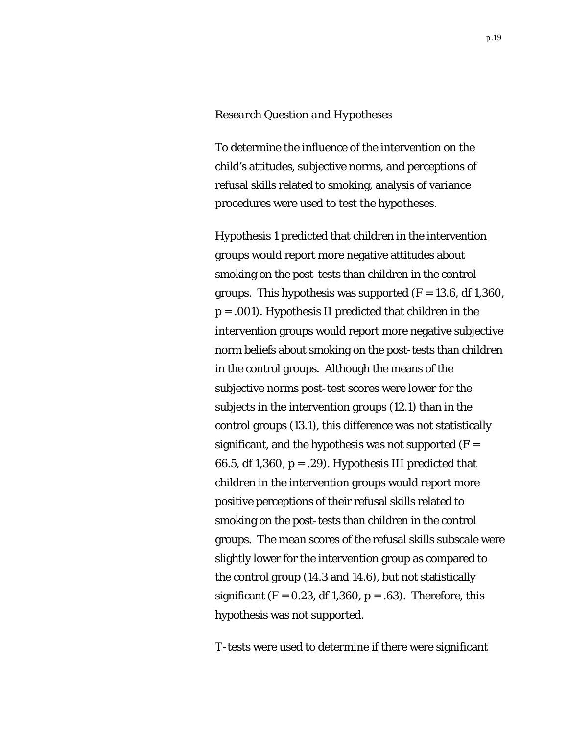#### *Research Question and Hypotheses*

To determine the influence of the intervention on the child's attitudes, subjective norms, and perceptions of refusal skills related to smoking, analysis of variance procedures were used to test the hypotheses.

Hypothesis 1 predicted that children in the intervention groups would report more negative attitudes about smoking on the post-tests than children in the control groups. This hypothesis was supported (*F* = 13.6, *df* 1,360, *p* = .001). Hypothesis II predicted that children in the intervention groups would report more negative subjective norm beliefs about smoking on the post-tests than children in the control groups. Although the means of the subjective norms post-test scores were lower for the subjects in the intervention groups (12.1) than in the control groups (13.1), this difference was not statistically significant, and the hypothesis was not supported  $(F =$ 66.5, *df* 1,360, *p* = .29). Hypothesis III predicted that children in the intervention groups would report more positive perceptions of their refusal skills related to smoking on the post-tests than children in the control groups. The mean scores of the refusal skills subscale were slightly lower for the intervention group as compared to the control group (14.3 and 14.6), but not statistically significant  $(F = 0.23, df 1,360, p = .63)$ . Therefore, this hypothesis was not supported.

*T*-tests were used to determine if there were significant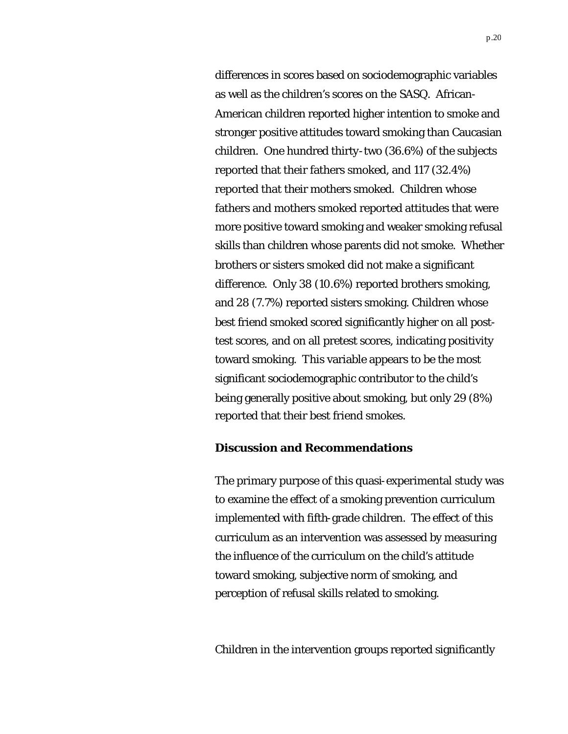differences in scores based on sociodemographic variables as well as the children's scores on the SASQ. African-American children reported higher intention to smoke and stronger positive attitudes toward smoking than Caucasian children. One hundred thirty-two (36.6%) of the subjects reported that their fathers smoked, and 117 (32.4%) reported that their mothers smoked. Children whose fathers and mothers smoked reported attitudes that were more positive toward smoking and weaker smoking refusal skills than children whose parents did not smoke. Whether brothers or sisters smoked did not make a significant difference. Only 38 (10.6%) reported brothers smoking, and 28 (7.7%) reported sisters smoking. Children whose best friend smoked scored significantly higher on all posttest scores, and on all pretest scores, indicating positivity toward smoking. This variable appears to be the most significant sociodemographic contributor to the child's being generally positive about smoking, but only 29 (8%) reported that their best friend smokes.

#### **Discussion and Recommendations**

The primary purpose of this quasi-experimental study was to examine the effect of a smoking prevention curriculum implemented with fifth-grade children. The effect of this curriculum as an intervention was assessed by measuring the influence of the curriculum on the child's attitude toward smoking, subjective norm of smoking, and perception of refusal skills related to smoking.

Children in the intervention groups reported significantly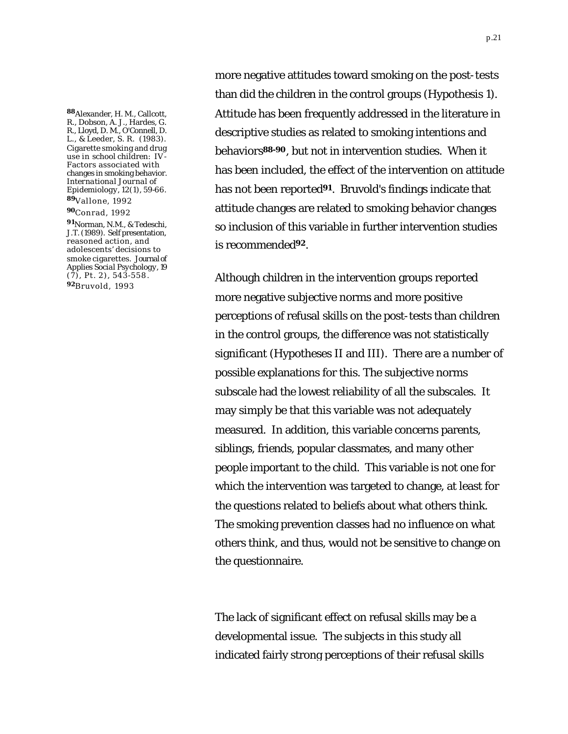**<sup>88</sup>**Alexander, H. M., Callcott, R., Dobson, A. J., Hardes, G. R., Lloyd, D. M., O'Connell, D. L., & Leeder, S. R. (1983). Cigarette smoking and drug use in school children: IV Factors associated with changes in smoking behavior. *International Journal of Epidemiology, 12*(1), 59-66. **<sup>89</sup>**Vallone, 1992

#### **<sup>90</sup>**Conrad, 1992

**<sup>91</sup>**Norman, N.M., & Tedeschi, J.T. (1989). Self presentation, reasoned action, and adolescents' decisions to smoke cigarettes. *Journal of Applies Social Psychology, 19*  $(7)$ , Pt. 2), 543-558. **<sup>92</sup>**Bruvold, 1993

more negative attitudes toward smoking on the post-tests than did the children in the control groups (Hypothesis 1). Attitude has been frequently addressed in the literature in descriptive studies as related to smoking intentions and behaviors**88-90**, but not in intervention studies. When it has been included, the effect of the intervention on attitude has not been reported**91**. Bruvold's findings indicate that attitude changes are related to smoking behavior changes so inclusion of this variable in further intervention studies is recommended**92**.

Although children in the intervention groups reported more negative subjective norms and more positive perceptions of refusal skills on the post-tests than children in the control groups, the difference was not statistically significant (Hypotheses II and III). There are a number of possible explanations for this. The subjective norms subscale had the lowest reliability of all the subscales. It may simply be that this variable was not adequately measured. In addition, this variable concerns parents, siblings, friends, popular classmates, and many other people important to the child. This variable is not one for which the intervention was targeted to change, at least for the questions related to beliefs about what others think. The smoking prevention classes had no influence on what others think, and thus, would not be sensitive to change on the questionnaire.

The lack of significant effect on refusal skills may be a developmental issue. The subjects in this study all indicated fairly strong perceptions of their refusal skills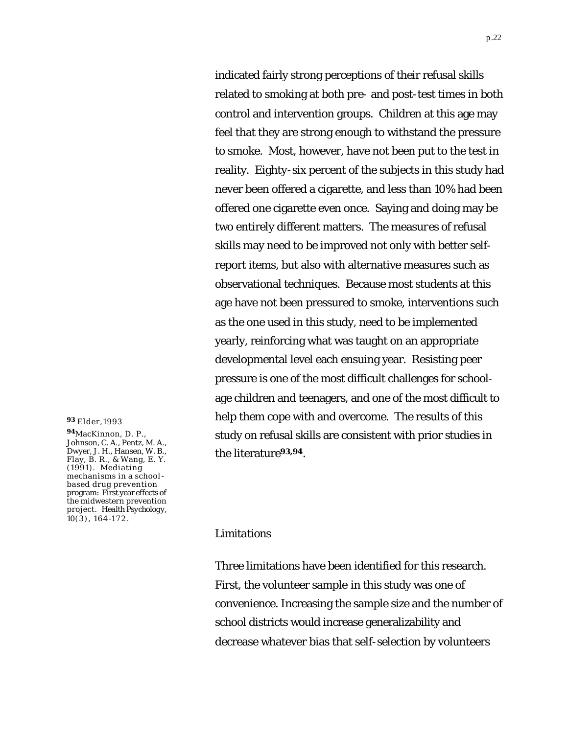indicated fairly strong perceptions of their refusal skills related to smoking at both pre- and post-test times in both control and intervention groups. Children at this age may feel that they are strong enough to withstand the pressure to smoke. Most, however, have not been put to the test in reality. Eighty-six percent of the subjects in this study had never been offered a cigarette, and less than 10% had been offered one cigarette even once. Saying and doing may be two entirely different matters. The measures of refusal skills may need to be improved not only with better selfreport items, but also with alternative measures such as observational techniques. Because most students at this age have not been pressured to smoke, interventions such as the one used in this study, need to be implemented yearly, reinforcing what was taught on an appropriate developmental level each ensuing year. Resisting peer pressure is one of the most difficult challenges for schoolage children and teenagers, and one of the most difficult to help them cope with and overcome. The results of this study on refusal skills are consistent with prior studies in the literature**93,94**.

#### **<sup>93</sup>** Elder,1993

**<sup>94</sup>**MacKinnon, D. P., Johnson, C. A., Pentz, M. A., Dwyer, J. H., Hansen, W. B., Flay, B. R., & Wang, E. Y. (1991). Mediating mechanisms in a schoolbased drug prevention program: First year effects of the midwestern prevention project. *Health Psychology, 10*(3), 164-172.

#### *Limitations*

Three limitations have been identified for this research. First, the volunteer sample in this study was one of convenience. Increasing the sample size and the number of school districts would increase generalizability and decrease whatever bias that self-selection by volunteers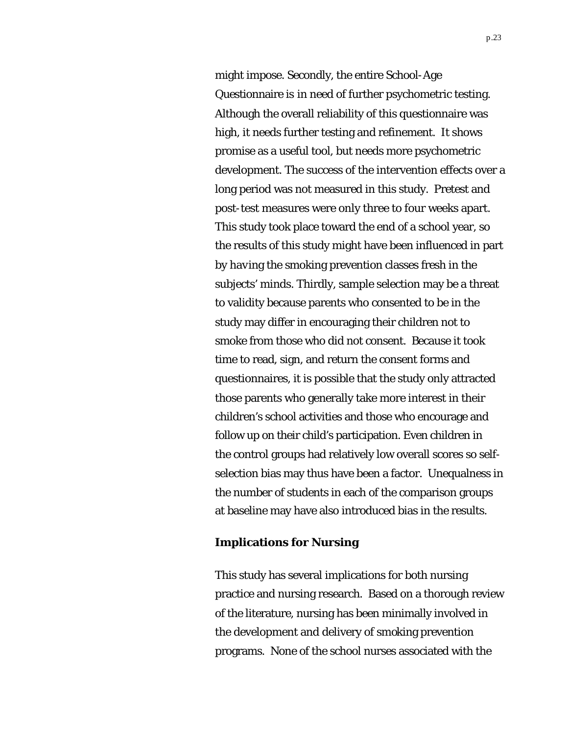might impose. Secondly, the entire School-Age Questionnaire is in need of further psychometric testing. Although the overall reliability of this questionnaire was high, it needs further testing and refinement. It shows promise as a useful tool, but needs more psychometric development. The success of the intervention effects over a long period was not measured in this study. Pretest and post-test measures were only three to four weeks apart. This study took place toward the end of a school year, so the results of this study might have been influenced in part by having the smoking prevention classes fresh in the subjects' minds. Thirdly, sample selection may be a threat to validity because parents who consented to be in the study may differ in encouraging their children not to smoke from those who did not consent. Because it took time to read, sign, and return the consent forms and questionnaires, it is possible that the study only attracted those parents who generally take more interest in their children's school activities and those who encourage and follow up on their child's participation. Even children in the control groups had relatively low overall scores so selfselection bias may thus have been a factor. Unequalness in the number of students in each of the comparison groups at baseline may have also introduced bias in the results.

#### **Implications for Nursing**

This study has several implications for both nursing practice and nursing research. Based on a thorough review of the literature, nursing has been minimally involved in the development and delivery of smoking prevention programs. None of the school nurses associated with the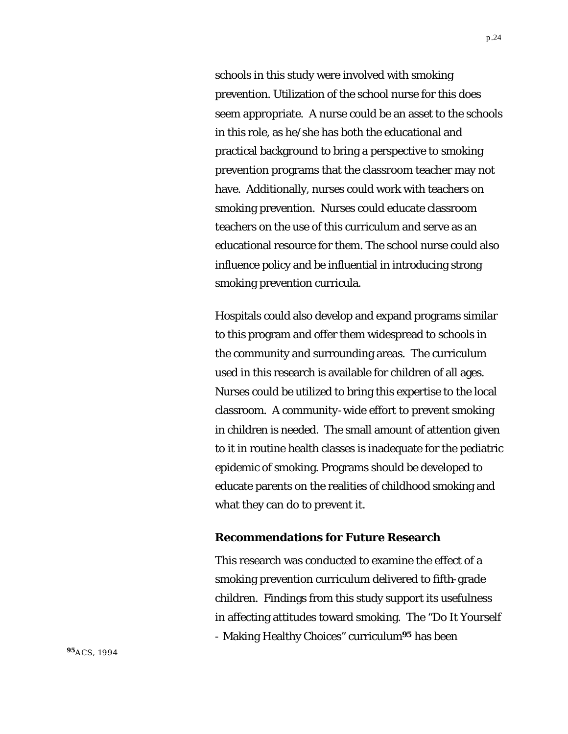schools in this study were involved with smoking prevention. Utilization of the school nurse for this does seem appropriate. A nurse could be an asset to the schools in this role, as he/she has both the educational and practical background to bring a perspective to smoking prevention programs that the classroom teacher may not have. Additionally, nurses could work with teachers on smoking prevention. Nurses could educate classroom teachers on the use of this curriculum and serve as an educational resource for them. The school nurse could also influence policy and be influential in introducing strong smoking prevention curricula.

Hospitals could also develop and expand programs similar to this program and offer them widespread to schools in the community and surrounding areas. The curriculum used in this research is available for children of all ages. Nurses could be utilized to bring this expertise to the local classroom. A community-wide effort to prevent smoking in children is needed. The small amount of attention given to it in routine health classes is inadequate for the pediatric epidemic of smoking. Programs should be developed to educate parents on the realities of childhood smoking and what they can do to prevent it.

#### **Recommendations for Future Research**

This research was conducted to examine the effect of a smoking prevention curriculum delivered to fifth-grade children. Findings from this study support its usefulness in affecting attitudes toward smoking. The "Do It Yourself - Making Healthy Choices" curriculum**95** has been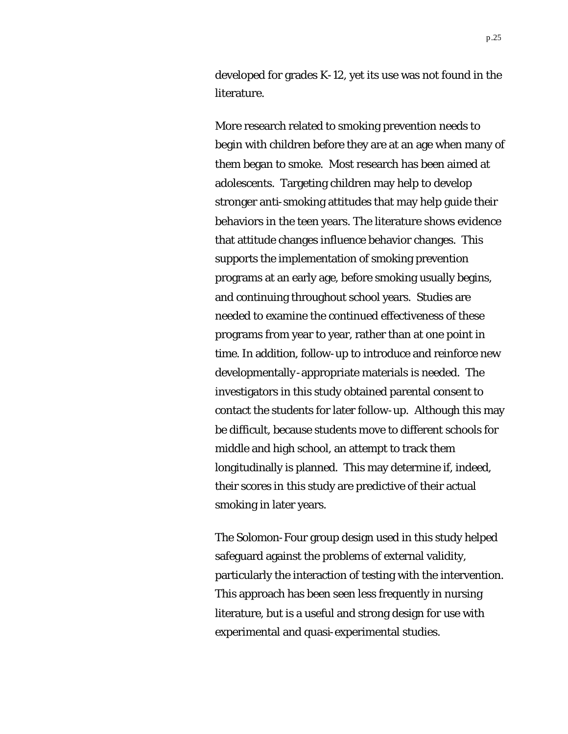developed for grades K-12, yet its use was not found in the literature.

More research related to smoking prevention needs to begin with children before they are at an age when many of them began to smoke. Most research has been aimed at adolescents. Targeting children may help to develop stronger anti-smoking attitudes that may help guide their behaviors in the teen years. The literature shows evidence that attitude changes influence behavior changes. This supports the implementation of smoking prevention programs at an early age, before smoking usually begins, and continuing throughout school years. Studies are needed to examine the continued effectiveness of these programs from year to year, rather than at one point in time. In addition, follow-up to introduce and reinforce new developmentally-appropriate materials is needed. The investigators in this study obtained parental consent to contact the students for later follow-up. Although this may be difficult, because students move to different schools for middle and high school, an attempt to track them longitudinally is planned. This may determine if, indeed, their scores in this study are predictive of their actual smoking in later years.

The Solomon-Four group design used in this study helped safeguard against the problems of external validity, particularly the interaction of testing with the intervention. This approach has been seen less frequently in nursing literature, but is a useful and strong design for use with experimental and quasi-experimental studies.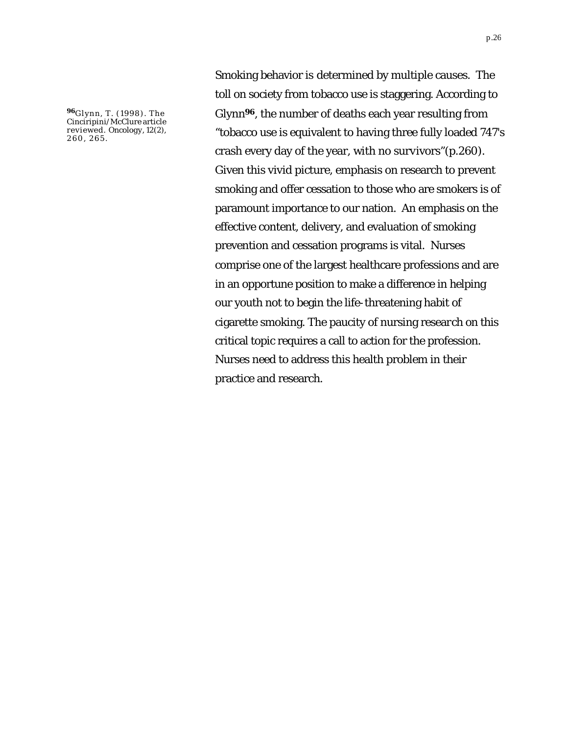**<sup>96</sup>**Glynn, T. (1998). The Cinciripini/McClure article reviewed. *Oncology, 12*(2), 260, 265.

Smoking behavior is determined by multiple causes. The toll on society from tobacco use is staggering. According to Glynn**96**, the number of deaths each year resulting from "tobacco use is equivalent to having three fully loaded 747's crash every day of the year, with no survivors"(p.260). Given this vivid picture, emphasis on research to prevent smoking and offer cessation to those who are smokers is of paramount importance to our nation. An emphasis on the effective content, delivery, and evaluation of smoking prevention and cessation programs is vital. Nurses comprise one of the largest healthcare professions and are in an opportune position to make a difference in helping our youth not to begin the life-threatening habit of cigarette smoking. The paucity of nursing research on this critical topic requires a call to action for the profession. Nurses need to address this health problem in their practice and research.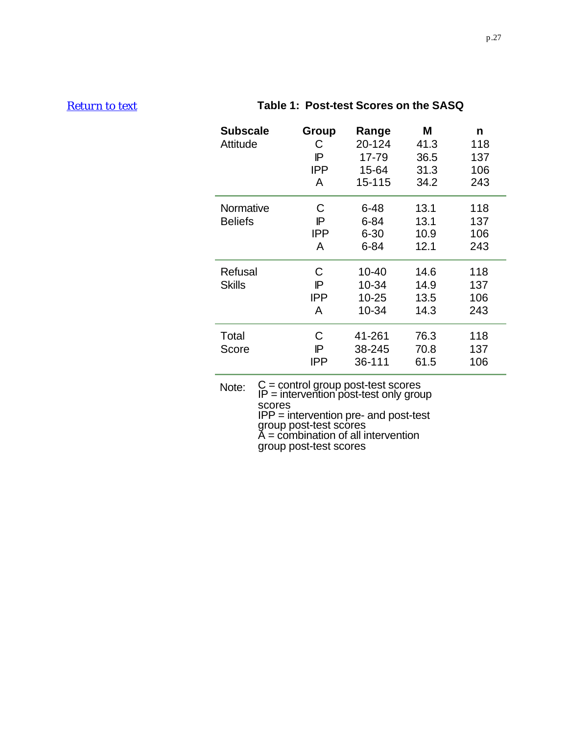## <span id="page-26-0"></span>*[Return to text](#page-17-0)* **Table 1: Post-test Scores on the SASQ**

| <b>Subscale</b><br>Attitude | Group<br>С<br>ΙP<br><b>IPP</b><br>A | Range<br>20-124<br>17-79<br>15-64<br>15-115  | Μ<br>41.3<br>36.5<br>31.3<br>34.2 | n<br>118<br>137<br>106<br>243 |
|-----------------------------|-------------------------------------|----------------------------------------------|-----------------------------------|-------------------------------|
| Normative<br><b>Beliefs</b> | C<br>IP<br><b>IPP</b><br>A          | $6 - 48$<br>$6 - 84$<br>$6 - 30$<br>$6 - 84$ | 13.1<br>13.1<br>10.9<br>12.1      | 118<br>137<br>106<br>243      |
| Refusal<br><b>Skills</b>    | C<br>IP<br><b>IPP</b><br>A          | 10-40<br>10-34<br>$10 - 25$<br>10-34         | 14.6<br>14.9<br>13.5<br>14.3      | 118<br>137<br>106<br>243      |
| Total<br>Score              | C<br>ΙP<br><b>IPP</b>               | 41-261<br>38-245<br>36-111                   | 76.3<br>70.8<br>61.5              | 118<br>137<br>106             |

Note: C = control group post-test scores IP = intervention post-test only group scores IPP = intervention pre- and post-test group post-test scores A = combination of all intervention group post-test scores